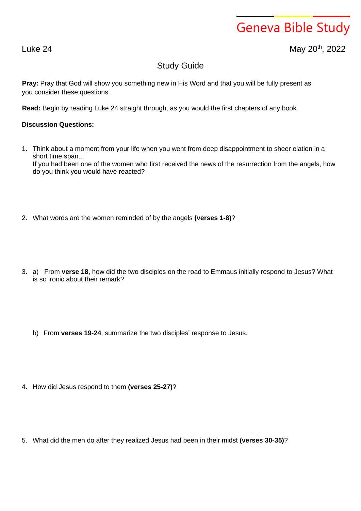## Geneva Bible Study

Luke 24 May 20<sup>th</sup>, 2022

## Study Guide

**Pray:** Pray that God will show you something new in His Word and that you will be fully present as you consider these questions.

**Read:** Begin by reading Luke 24 straight through, as you would the first chapters of any book.

## **Discussion Questions:**

- 1. Think about a moment from your life when you went from deep disappointment to sheer elation in a short time span… If you had been one of the women who first received the news of the resurrection from the angels, how do you think you would have reacted?
- 2. What words are the women reminded of by the angels **(verses 1-8)**?
- 3. a) From **verse 18**, how did the two disciples on the road to Emmaus initially respond to Jesus? What is so ironic about their remark?
	- b) From **verses 19-24**, summarize the two disciples' response to Jesus.
- 4. How did Jesus respond to them **(verses 25-27)**?
- 5. What did the men do after they realized Jesus had been in their midst **(verses 30-35)**?